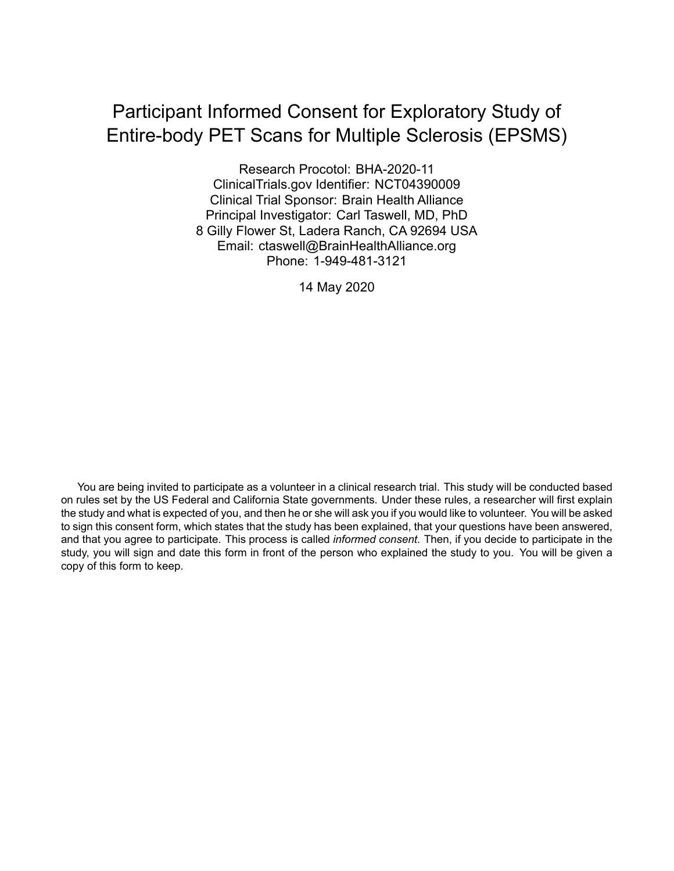# Participant Informed Consent for Exploratory Study of Entire-body PET Scans for Multiple Sclerosis (EPSMS)

Research Procotol: BHA-2020-11 ClinicalTrials.gov Identifier: NCT04390009 Clinical Trial Sponsor: Brain Health Alliance Principal Investigator: Carl Taswell, MD, PhD 8 Gilly Flower St, Ladera Ranch, CA 92694 USA Email: ctaswell@BrainHealthAlliance.org Phone: 1-949-481-3121

14 May 2020

You are being invited to participate as a volunteer in a clinical research trial. This study will be conducted based on rules set by the US Federal and California State governments. Under these rules, a researcher will first explain the study and what is expected of you, and then he or she will ask you if you would like to volunteer. You will be asked to sign this consent form, which states that the study has been explained, that your questions have been answered, and that you agree to participate. This process is called *informed consent*. Then, if you decide to participate in the study, you will sign and date this form in front of the person who explained the study to you. You will be given a copy of this form to keep.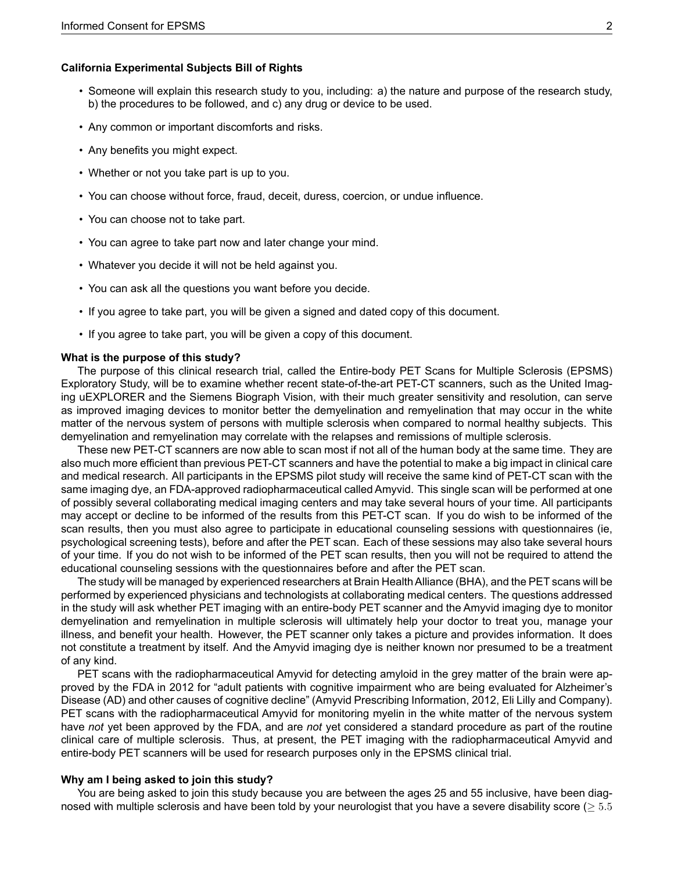#### **California Experimental Subjects Bill of Rights**

- Someone will explain this research study to you, including: a) the nature and purpose of the research study, b) the procedures to be followed, and c) any drug or device to be used.
- Any common or important discomforts and risks.
- Any benefits you might expect.
- Whether or not you take part is up to you.
- You can choose without force, fraud, deceit, duress, coercion, or undue influence.
- You can choose not to take part.
- You can agree to take part now and later change your mind.
- Whatever you decide it will not be held against you.
- You can ask all the questions you want before you decide.
- If you agree to take part, you will be given a signed and dated copy of this document.
- If you agree to take part, you will be given a copy of this document.

#### **What is the purpose of this study?**

The purpose of this clinical research trial, called the Entire-body PET Scans for Multiple Sclerosis (EPSMS) Exploratory Study, will be to examine whether recent state-of-the-art PET-CT scanners, such as the United Imaging uEXPLORER and the Siemens Biograph Vision, with their much greater sensitivity and resolution, can serve as improved imaging devices to monitor better the demyelination and remyelination that may occur in the white matter of the nervous system of persons with multiple sclerosis when compared to normal healthy subjects. This demyelination and remyelination may correlate with the relapses and remissions of multiple sclerosis.

These new PET-CT scanners are now able to scan most if not all of the human body at the same time. They are also much more efficient than previous PET-CT scanners and have the potential to make a big impact in clinical care and medical research. All participants in the EPSMS pilot study will receive the same kind of PET-CT scan with the same imaging dye, an FDA-approved radiopharmaceutical called Amyvid. This single scan will be performed at one of possibly several collaborating medical imaging centers and may take several hours of your time. All participants may accept or decline to be informed of the results from this PET-CT scan. If you do wish to be informed of the scan results, then you must also agree to participate in educational counseling sessions with questionnaires (ie, psychological screening tests), before and after the PET scan. Each of these sessions may also take several hours of your time. If you do not wish to be informed of the PET scan results, then you will not be required to attend the educational counseling sessions with the questionnaires before and after the PET scan.

The study will be managed by experienced researchers at Brain Health Alliance (BHA), and the PET scans will be performed by experienced physicians and technologists at collaborating medical centers. The questions addressed in the study will ask whether PET imaging with an entire-body PET scanner and the Amyvid imaging dye to monitor demyelination and remyelination in multiple sclerosis will ultimately help your doctor to treat you, manage your illness, and benefit your health. However, the PET scanner only takes a picture and provides information. It does not constitute a treatment by itself. And the Amyvid imaging dye is neither known nor presumed to be a treatment of any kind.

PET scans with the radiopharmaceutical Amyvid for detecting amyloid in the grey matter of the brain were approved by the FDA in 2012 for "adult patients with cognitive impairment who are being evaluated for Alzheimer's Disease (AD) and other causes of cognitive decline" (Amyvid Prescribing Information, 2012, Eli Lilly and Company). PET scans with the radiopharmaceutical Amyvid for monitoring myelin in the white matter of the nervous system have *not* yet been approved by the FDA, and are *not* yet considered a standard procedure as part of the routine clinical care of multiple sclerosis. Thus, at present, the PET imaging with the radiopharmaceutical Amyvid and entire-body PET scanners will be used for research purposes only in the EPSMS clinical trial.

#### **Why am I being asked to join this study?**

You are being asked to join this study because you are between the ages 25 and 55 inclusive, have been diagnosed with multiple sclerosis and have been told by your neurologist that you have a severe disability score ( $> 5.5$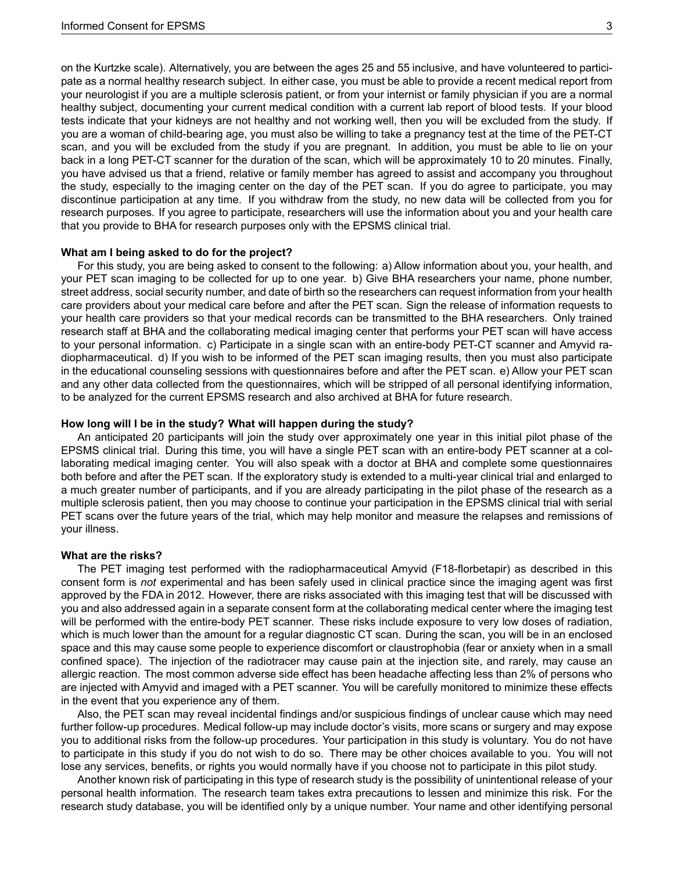on the Kurtzke scale). Alternatively, you are between the ages 25 and 55 inclusive, and have volunteered to participate as a normal healthy research subject. In either case, you must be able to provide a recent medical report from your neurologist if you are a multiple sclerosis patient, or from your internist or family physician if you are a normal healthy subject, documenting your current medical condition with a current lab report of blood tests. If your blood tests indicate that your kidneys are not healthy and not working well, then you will be excluded from the study. If you are a woman of child-bearing age, you must also be willing to take a pregnancy test at the time of the PET-CT scan, and you will be excluded from the study if you are pregnant. In addition, you must be able to lie on your back in a long PET-CT scanner for the duration of the scan, which will be approximately 10 to 20 minutes. Finally, you have advised us that a friend, relative or family member has agreed to assist and accompany you throughout the study, especially to the imaging center on the day of the PET scan. If you do agree to participate, you may discontinue participation at any time. If you withdraw from the study, no new data will be collected from you for research purposes. If you agree to participate, researchers will use the information about you and your health care that you provide to BHA for research purposes only with the EPSMS clinical trial.

### **What am I being asked to do for the project?**

For this study, you are being asked to consent to the following: a) Allow information about you, your health, and your PET scan imaging to be collected for up to one year. b) Give BHA researchers your name, phone number, street address, social security number, and date of birth so the researchers can request information from your health care providers about your medical care before and after the PET scan. Sign the release of information requests to your health care providers so that your medical records can be transmitted to the BHA researchers. Only trained research staff at BHA and the collaborating medical imaging center that performs your PET scan will have access to your personal information. c) Participate in a single scan with an entire-body PET-CT scanner and Amyvid radiopharmaceutical. d) If you wish to be informed of the PET scan imaging results, then you must also participate in the educational counseling sessions with questionnaires before and after the PET scan. e) Allow your PET scan and any other data collected from the questionnaires, which will be stripped of all personal identifying information, to be analyzed for the current EPSMS research and also archived at BHA for future research.

## **How long will I be in the study? What will happen during the study?**

An anticipated 20 participants will join the study over approximately one year in this initial pilot phase of the EPSMS clinical trial. During this time, you will have a single PET scan with an entire-body PET scanner at a collaborating medical imaging center. You will also speak with a doctor at BHA and complete some questionnaires both before and after the PET scan. If the exploratory study is extended to a multi-year clinical trial and enlarged to a much greater number of participants, and if you are already participating in the pilot phase of the research as a multiple sclerosis patient, then you may choose to continue your participation in the EPSMS clinical trial with serial PET scans over the future years of the trial, which may help monitor and measure the relapses and remissions of your illness.

# **What are the risks?**

The PET imaging test performed with the radiopharmaceutical Amyvid (F18-florbetapir) as described in this consent form is *not* experimental and has been safely used in clinical practice since the imaging agent was first approved by the FDA in 2012. However, there are risks associated with this imaging test that will be discussed with you and also addressed again in a separate consent form at the collaborating medical center where the imaging test will be performed with the entire-body PET scanner. These risks include exposure to very low doses of radiation, which is much lower than the amount for a regular diagnostic CT scan. During the scan, you will be in an enclosed space and this may cause some people to experience discomfort or claustrophobia (fear or anxiety when in a small confined space). The injection of the radiotracer may cause pain at the injection site, and rarely, may cause an allergic reaction. The most common adverse side effect has been headache affecting less than 2% of persons who are injected with Amyvid and imaged with a PET scanner. You will be carefully monitored to minimize these effects in the event that you experience any of them.

Also, the PET scan may reveal incidental findings and/or suspicious findings of unclear cause which may need further follow-up procedures. Medical follow-up may include doctor's visits, more scans or surgery and may expose you to additional risks from the follow-up procedures. Your participation in this study is voluntary. You do not have to participate in this study if you do not wish to do so. There may be other choices available to you. You will not lose any services, benefits, or rights you would normally have if you choose not to participate in this pilot study.

Another known risk of participating in this type of research study is the possibility of unintentional release of your personal health information. The research team takes extra precautions to lessen and minimize this risk. For the research study database, you will be identified only by a unique number. Your name and other identifying personal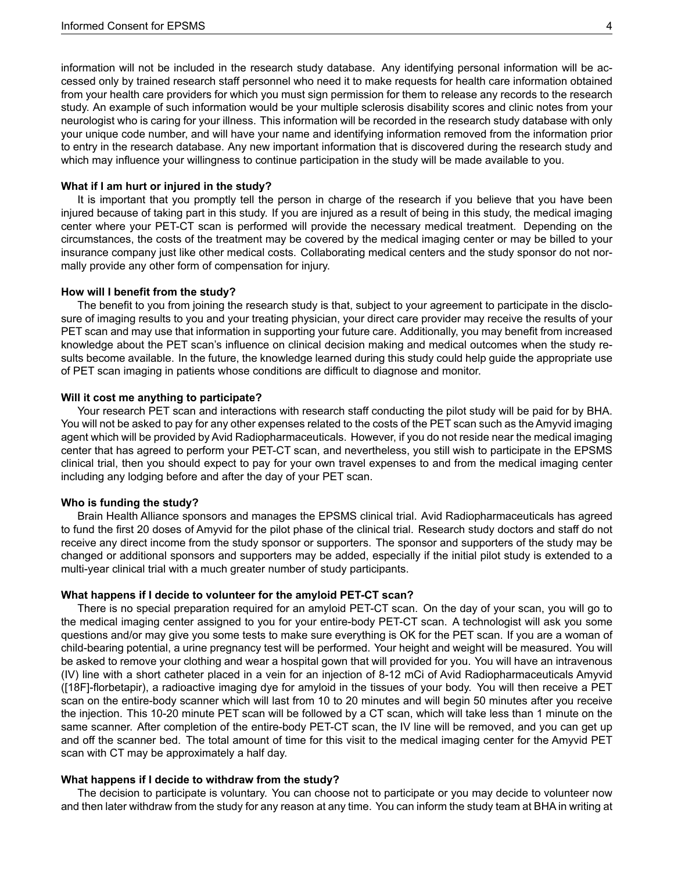information will not be included in the research study database. Any identifying personal information will be accessed only by trained research staff personnel who need it to make requests for health care information obtained from your health care providers for which you must sign permission for them to release any records to the research study. An example of such information would be your multiple sclerosis disability scores and clinic notes from your neurologist who is caring for your illness. This information will be recorded in the research study database with only your unique code number, and will have your name and identifying information removed from the information prior to entry in the research database. Any new important information that is discovered during the research study and which may influence your willingness to continue participation in the study will be made available to you.

# **What if I am hurt or injured in the study?**

It is important that you promptly tell the person in charge of the research if you believe that you have been injured because of taking part in this study. If you are injured as a result of being in this study, the medical imaging center where your PET-CT scan is performed will provide the necessary medical treatment. Depending on the circumstances, the costs of the treatment may be covered by the medical imaging center or may be billed to your insurance company just like other medical costs. Collaborating medical centers and the study sponsor do not normally provide any other form of compensation for injury.

#### **How will I benefit from the study?**

The benefit to you from joining the research study is that, subject to your agreement to participate in the disclosure of imaging results to you and your treating physician, your direct care provider may receive the results of your PET scan and may use that information in supporting your future care. Additionally, you may benefit from increased knowledge about the PET scan's influence on clinical decision making and medical outcomes when the study results become available. In the future, the knowledge learned during this study could help guide the appropriate use of PET scan imaging in patients whose conditions are difficult to diagnose and monitor.

# **Will it cost me anything to participate?**

Your research PET scan and interactions with research staff conducting the pilot study will be paid for by BHA. You will not be asked to pay for any other expenses related to the costs of the PET scan such as the Amyvid imaging agent which will be provided by Avid Radiopharmaceuticals. However, if you do not reside near the medical imaging center that has agreed to perform your PET-CT scan, and nevertheless, you still wish to participate in the EPSMS clinical trial, then you should expect to pay for your own travel expenses to and from the medical imaging center including any lodging before and after the day of your PET scan.

#### **Who is funding the study?**

Brain Health Alliance sponsors and manages the EPSMS clinical trial. Avid Radiopharmaceuticals has agreed to fund the first 20 doses of Amyvid for the pilot phase of the clinical trial. Research study doctors and staff do not receive any direct income from the study sponsor or supporters. The sponsor and supporters of the study may be changed or additional sponsors and supporters may be added, especially if the initial pilot study is extended to a multi-year clinical trial with a much greater number of study participants.

#### **What happens if I decide to volunteer for the amyloid PET-CT scan?**

There is no special preparation required for an amyloid PET-CT scan. On the day of your scan, you will go to the medical imaging center assigned to you for your entire-body PET-CT scan. A technologist will ask you some questions and/or may give you some tests to make sure everything is OK for the PET scan. If you are a woman of child-bearing potential, a urine pregnancy test will be performed. Your height and weight will be measured. You will be asked to remove your clothing and wear a hospital gown that will provided for you. You will have an intravenous (IV) line with a short catheter placed in a vein for an injection of 8-12 mCi of Avid Radiopharmaceuticals Amyvid ([18F]-florbetapir), a radioactive imaging dye for amyloid in the tissues of your body. You will then receive a PET scan on the entire-body scanner which will last from 10 to 20 minutes and will begin 50 minutes after you receive the injection. This 10-20 minute PET scan will be followed by a CT scan, which will take less than 1 minute on the same scanner. After completion of the entire-body PET-CT scan, the IV line will be removed, and you can get up and off the scanner bed. The total amount of time for this visit to the medical imaging center for the Amyvid PET scan with CT may be approximately a half day.

#### **What happens if I decide to withdraw from the study?**

The decision to participate is voluntary. You can choose not to participate or you may decide to volunteer now and then later withdraw from the study for any reason at any time. You can inform the study team at BHA in writing at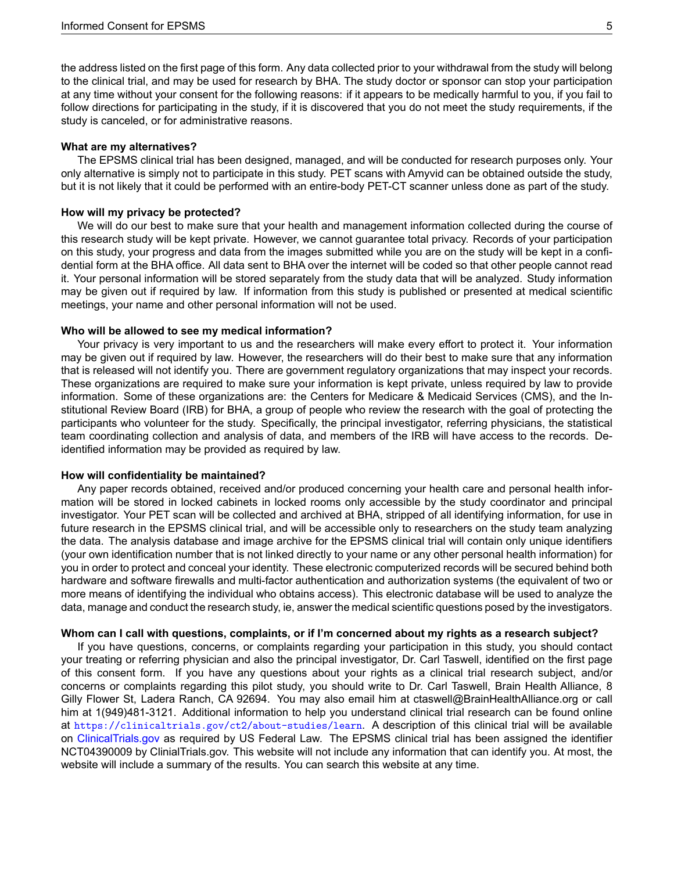the address listed on the first page of this form. Any data collected prior to your withdrawal from the study will belong to the clinical trial, and may be used for research by BHA. The study doctor or sponsor can stop your participation at any time without your consent for the following reasons: if it appears to be medically harmful to you, if you fail to follow directions for participating in the study, if it is discovered that you do not meet the study requirements, if the study is canceled, or for administrative reasons.

#### **What are my alternatives?**

The EPSMS clinical trial has been designed, managed, and will be conducted for research purposes only. Your only alternative is simply not to participate in this study. PET scans with Amyvid can be obtained outside the study, but it is not likely that it could be performed with an entire-body PET-CT scanner unless done as part of the study.

# **How will my privacy be protected?**

We will do our best to make sure that your health and management information collected during the course of this research study will be kept private. However, we cannot guarantee total privacy. Records of your participation on this study, your progress and data from the images submitted while you are on the study will be kept in a confidential form at the BHA office. All data sent to BHA over the internet will be coded so that other people cannot read it. Your personal information will be stored separately from the study data that will be analyzed. Study information may be given out if required by law. If information from this study is published or presented at medical scientific meetings, your name and other personal information will not be used.

### **Who will be allowed to see my medical information?**

Your privacy is very important to us and the researchers will make every effort to protect it. Your information may be given out if required by law. However, the researchers will do their best to make sure that any information that is released will not identify you. There are government regulatory organizations that may inspect your records. These organizations are required to make sure your information is kept private, unless required by law to provide information. Some of these organizations are: the Centers for Medicare & Medicaid Services (CMS), and the Institutional Review Board (IRB) for BHA, a group of people who review the research with the goal of protecting the participants who volunteer for the study. Specifically, the principal investigator, referring physicians, the statistical team coordinating collection and analysis of data, and members of the IRB will have access to the records. Deidentified information may be provided as required by law.

#### **How will confidentiality be maintained?**

Any paper records obtained, received and/or produced concerning your health care and personal health information will be stored in locked cabinets in locked rooms only accessible by the study coordinator and principal investigator. Your PET scan will be collected and archived at BHA, stripped of all identifying information, for use in future research in the EPSMS clinical trial, and will be accessible only to researchers on the study team analyzing the data. The analysis database and image archive for the EPSMS clinical trial will contain only unique identifiers (your own identification number that is not linked directly to your name or any other personal health information) for you in order to protect and conceal your identity. These electronic computerized records will be secured behind both hardware and software firewalls and multi-factor authentication and authorization systems (the equivalent of two or more means of identifying the individual who obtains access). This electronic database will be used to analyze the data, manage and conduct the research study, ie, answer the medical scientific questions posed by the investigators.

# **Whom can I call with questions, complaints, or if I'm concerned about my rights as a research subject?**

If you have questions, concerns, or complaints regarding your participation in this study, you should contact your treating or referring physician and also the principal investigator, Dr. Carl Taswell, identified on the first page of this consent form. If you have any questions about your rights as a clinical trial research subject, and/or concerns or complaints regarding this pilot study, you should write to Dr. Carl Taswell, Brain Health Alliance, 8 Gilly Flower St, Ladera Ranch, CA 92694. You may also email him at ctaswell@BrainHealthAlliance.org or call him at 1(949)481-3121. Additional information to help you understand clinical trial research can be found online at <https://clinicaltrials.gov/ct2/about-studies/learn>. A description of this clinical trial will be available on [ClinicalTrials.gov](https://clinicaltrials.gov/) as required by US Federal Law. The EPSMS clinical trial has been assigned the identifier NCT04390009 by ClinialTrials.gov. This website will not include any information that can identify you. At most, the website will include a summary of the results. You can search this website at any time.